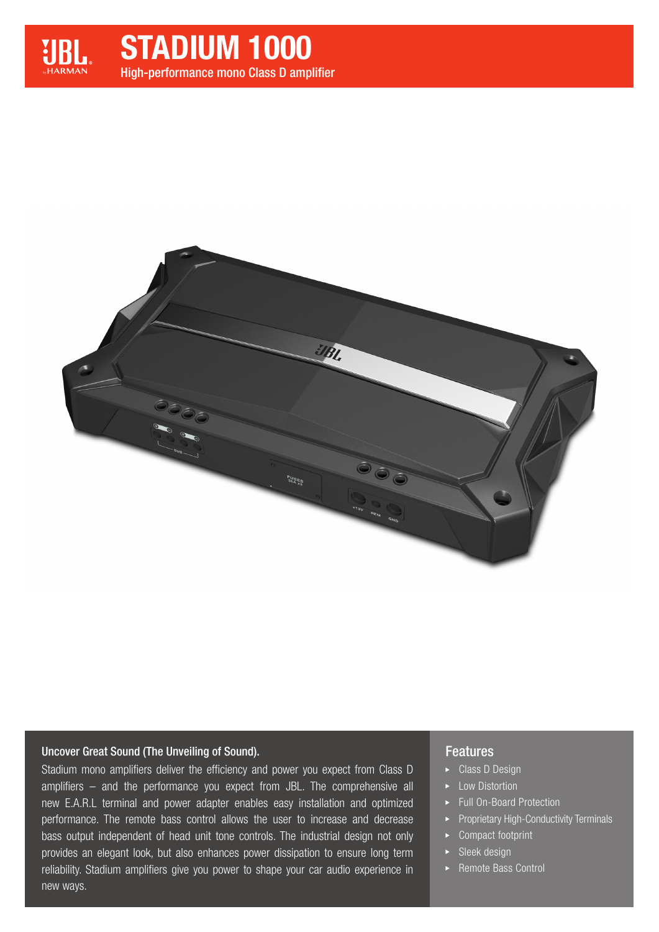

# High-performance mono Class D amplifier STADIUM 1000



#### Uncover Great Sound (The Unveiling of Sound).

Stadium mono amplifiers deliver the efficiency and power you expect from Class D amplifiers – and the performance you expect from JBL. The comprehensive all new E.A.R.L terminal and power adapter enables easy installation and optimized performance. The remote bass control allows the user to increase and decrease bass output independent of head unit tone controls. The industrial design not only provides an elegant look, but also enhances power dissipation to ensure long term reliability. Stadium amplifiers give you power to shape your car audio experience in new ways.

#### Features

- ► Class D Design
- ► Low Distortion
- ▶ Full On-Board Protection
- Proprietary High-Conductivity Terminals
- ▶ Compact footprint
- $\blacktriangleright$  Sleek design
- ▶ Remote Bass Control